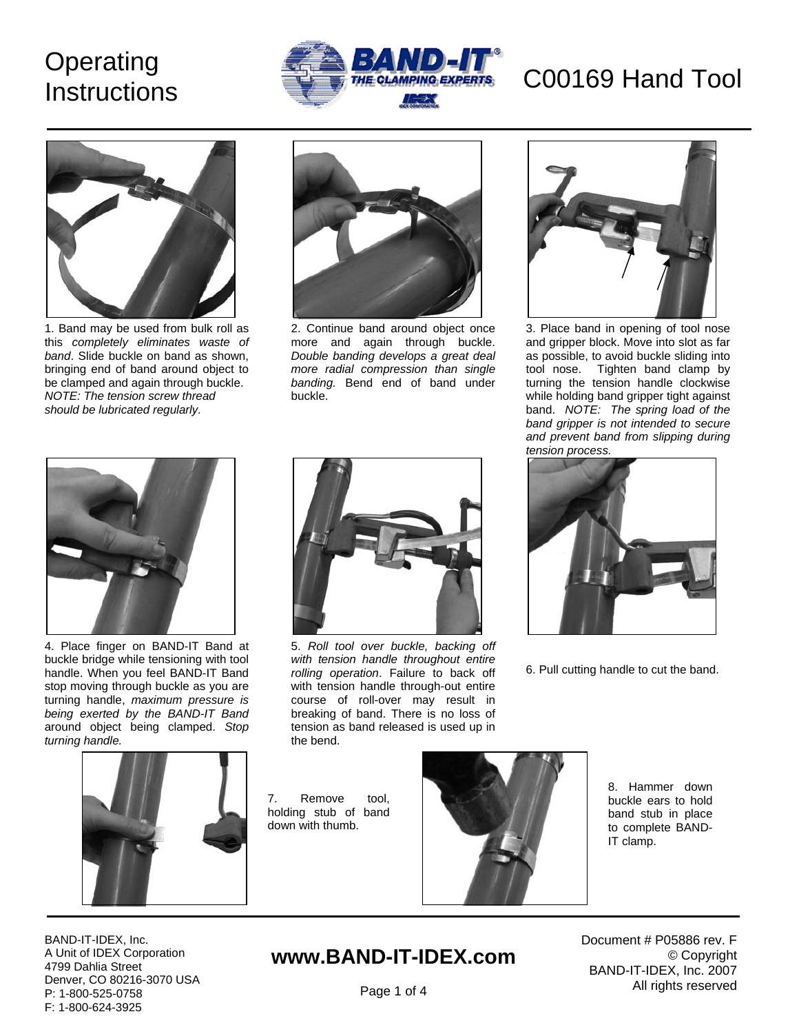# **Instructions**





1. Band may be used from bulk roll as this *completely eliminates waste of band*. Slide buckle on band as shown, bringing end of band around object to be clamped and again through buckle. *NOTE: The tension screw thread should be lubricated regularly.* 



2. Continue band around object once more and again through buckle. *Double banding develops a great deal more radial compression than single banding.* Bend end of band under buckle.



3. Place band in opening of tool nose and gripper block. Move into slot as far as possible, to avoid buckle sliding into tool nose. Tighten band clamp by turning the tension handle clockwise while holding band gripper tight against band. *NOTE: The spring load of the band gripper is not intended to secure and prevent band from slipping during tension process.*



4. Place finger on BAND-IT Band at buckle bridge while tensioning with tool handle. When you feel BAND-IT Band stop moving through buckle as you are turning handle, *maximum pressure is being exerted by the BAND-IT Band* around object being clamped. *Stop turning handle.* 



5. *Roll tool over buckle, backing off with tension handle throughout entire rolling operation*. Failure to back off with tension handle through-out entire course of roll-over may result in breaking of band. There is no loss of tension as band released is used up in the bend.



6. Pull cutting handle to cut the band.



7. Remove tool, holding stub of band down with thumb.



8. Hammer down buckle ears to hold band stub in place to complete BAND-IT clamp.

BAND-IT-IDEX, Inc. A Unit of IDEX Corporation 4799 Dahlia Street Denver, CO 80216-3070 USA P: 1-800-525-0758 F: 1-800-624-3925

## **www.BAND-IT-IDEX.com**

Document # P05886 rev. F © Copyright BAND-IT-IDEX, Inc. 2007 All rights reserved

Page 1 of 4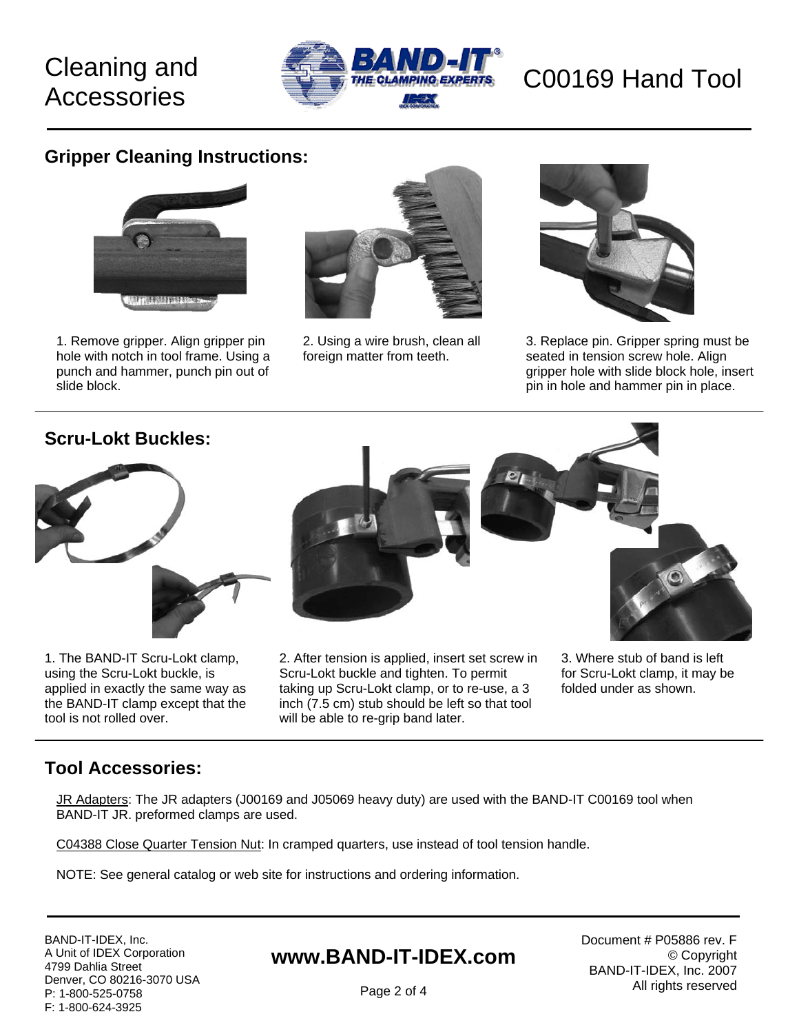# **Accessories**



### **Gripper Cleaning Instructions:**



1. Remove gripper. Align gripper pin hole with notch in tool frame. Using a punch and hammer, punch pin out of slide block.



2. Using a wire brush, clean all foreign matter from teeth.



3. Replace pin. Gripper spring must be seated in tension screw hole. Align gripper hole with slide block hole, insert pin in hole and hammer pin in place.

### **Scru-Lokt Buckles:**



1. The BAND-IT Scru-Lokt clamp, using the Scru-Lokt buckle, is applied in exactly the same way as the BAND-IT clamp except that the tool is not rolled over.



2. After tension is applied, insert set screw in Scru-Lokt buckle and tighten. To permit taking up Scru-Lokt clamp, or to re-use, a 3 inch (7.5 cm) stub should be left so that tool will be able to re-grip band later.

3. Where stub of band is left for Scru-Lokt clamp, it may be folded under as shown.

### **Tool Accessories:**

JR Adapters: The JR adapters (J00169 and J05069 heavy duty) are used with the BAND-IT C00169 tool when BAND-IT JR. preformed clamps are used.

C04388 Close Quarter Tension Nut: In cramped quarters, use instead of tool tension handle.

NOTE: See general catalog or web site for instructions and ordering information.

BAND-IT-IDEX, Inc. A Unit of IDEX Corporation 4799 Dahlia Street Denver, CO 80216-3070 USA P: 1-800-525-0758 F: 1-800-624-3925

## **www.BAND-IT-IDEX.com**

Document # P05886 rev. F © Copyright BAND-IT-IDEX, Inc. 2007 All rights reserved

Page 2 of 4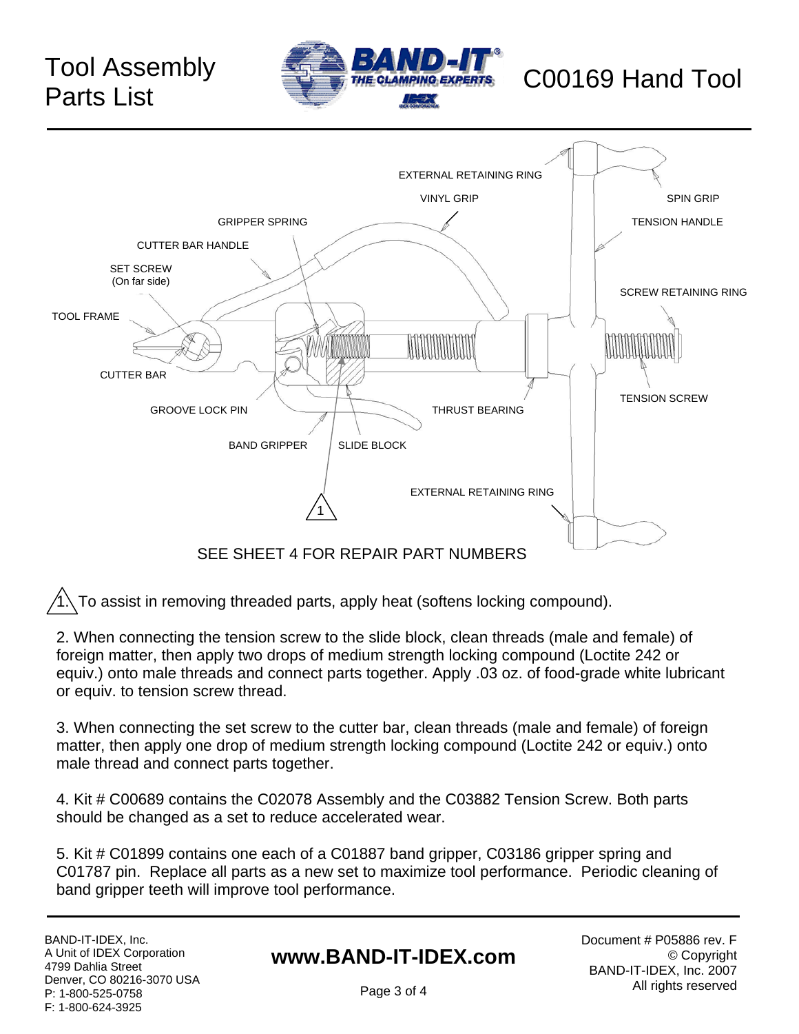# Parts List





1. To assist in removing threaded parts, apply heat (softens locking compound).

2. When connecting the tension screw to the slide block, clean threads (male and female) of foreign matter, then apply two drops of medium strength locking compound (Loctite 242 or equiv.) onto male threads and connect parts together. Apply .03 oz. of food-grade white lubricant or equiv. to tension screw thread.

3. When connecting the set screw to the cutter bar, clean threads (male and female) of foreign matter, then apply one drop of medium strength locking compound (Loctite 242 or equiv.) onto male thread and connect parts together.

4. Kit # C00689 contains the C02078 Assembly and the C03882 Tension Screw. Both parts should be changed as a set to reduce accelerated wear.

5. Kit # C01899 contains one each of a C01887 band gripper, C03186 gripper spring and C01787 pin. Replace all parts as a new set to maximize tool performance. Periodic cleaning of band gripper teeth will improve tool performance.

BAND-IT-IDEX, Inc. A Unit of IDEX Corporation 4799 Dahlia Street Denver, CO 80216-3070 USA P: 1-800-525-0758 F: 1-800-624-3925

### **www.BAND-IT-IDEX.com**

Document # P05886 rev. F © Copyright BAND-IT-IDEX, Inc. 2007 All rights reserved

Page 3 of 4